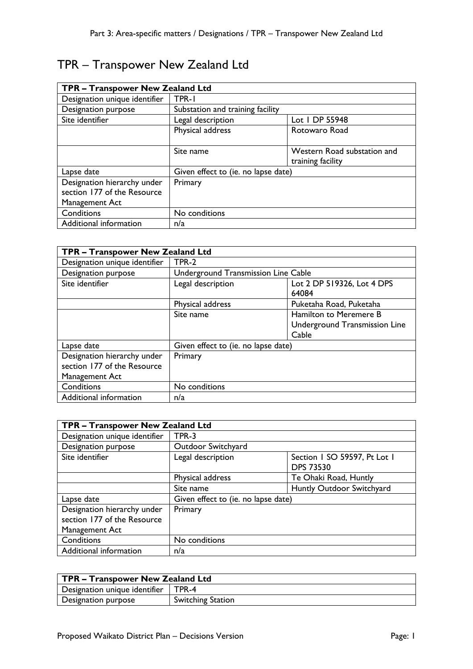| TPR - Transpower New Zealand Ltd                                             |                                     |                                                  |  |
|------------------------------------------------------------------------------|-------------------------------------|--------------------------------------------------|--|
| Designation unique identifier                                                | TPR-1                               |                                                  |  |
| Designation purpose                                                          | Substation and training facility    |                                                  |  |
| Site identifier                                                              | Legal description                   | Lot   DP 55948                                   |  |
|                                                                              | Physical address                    | Rotowaro Road                                    |  |
|                                                                              | Site name                           | Western Road substation and<br>training facility |  |
| Lapse date                                                                   | Given effect to (ie. no lapse date) |                                                  |  |
| Designation hierarchy under<br>section 177 of the Resource<br>Management Act | Primary                             |                                                  |  |
| Conditions                                                                   | No conditions                       |                                                  |  |
| Additional information                                                       | n/a                                 |                                                  |  |

# TPR – Transpower New Zealand Ltd

| TPR - Transpower New Zealand Ltd                                             |                                     |                                     |
|------------------------------------------------------------------------------|-------------------------------------|-------------------------------------|
| Designation unique identifier                                                | TPR-2                               |                                     |
| Designation purpose                                                          | Underground Transmission Line Cable |                                     |
| Site identifier                                                              | Legal description                   | Lot 2 DP 519326, Lot 4 DPS<br>64084 |
|                                                                              | Physical address                    | Puketaha Road, Puketaha             |
|                                                                              | Site name                           | Hamilton to Meremere B              |
|                                                                              |                                     | Underground Transmission Line       |
|                                                                              |                                     | Cable                               |
| Lapse date                                                                   | Given effect to (ie. no lapse date) |                                     |
| Designation hierarchy under<br>section 177 of the Resource<br>Management Act | Primary                             |                                     |
| Conditions                                                                   | No conditions                       |                                     |
| Additional information                                                       | n/a                                 |                                     |

| TPR - Transpower New Zealand Ltd                                             |                                     |                                                  |  |
|------------------------------------------------------------------------------|-------------------------------------|--------------------------------------------------|--|
| Designation unique identifier                                                | TPR-3                               |                                                  |  |
| Designation purpose                                                          | Outdoor Switchyard                  |                                                  |  |
| Site identifier                                                              | Legal description                   | Section 1 SO 59597, Pt Lot 1<br><b>DPS 73530</b> |  |
|                                                                              | Physical address                    | Te Ohaki Road, Huntly                            |  |
|                                                                              | Site name                           | Huntly Outdoor Switchyard                        |  |
| Lapse date                                                                   | Given effect to (ie. no lapse date) |                                                  |  |
| Designation hierarchy under<br>section 177 of the Resource<br>Management Act | Primary                             |                                                  |  |
| Conditions                                                                   | No conditions                       |                                                  |  |
| Additional information                                                       | n/a                                 |                                                  |  |

| TPR – Transpower New Zealand Ltd      |                          |  |
|---------------------------------------|--------------------------|--|
| Designation unique identifier   TPR-4 |                          |  |
| Designation purpose                   | <b>Switching Station</b> |  |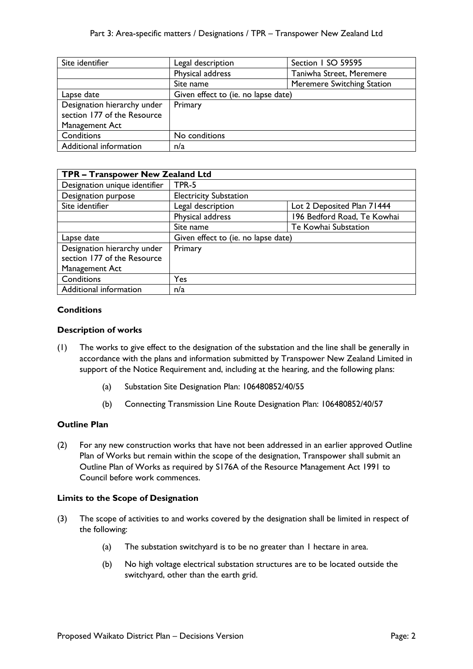| Site identifier                                            | Legal description                   | Section I SO 59595                |
|------------------------------------------------------------|-------------------------------------|-----------------------------------|
|                                                            | Physical address                    | Taniwha Street, Meremere          |
|                                                            | Site name                           | <b>Meremere Switching Station</b> |
| Lapse date                                                 | Given effect to (ie. no lapse date) |                                   |
| Designation hierarchy under<br>section 177 of the Resource | Primary                             |                                   |
| Management Act                                             |                                     |                                   |
| Conditions                                                 | No conditions                       |                                   |
| Additional information                                     | n/a                                 |                                   |

| TPR - Transpower New Zealand Ltd |                                                 |                             |  |
|----------------------------------|-------------------------------------------------|-----------------------------|--|
| Designation unique identifier    | TPR-5                                           |                             |  |
| Designation purpose              | <b>Electricity Substation</b>                   |                             |  |
| Site identifier                  | Lot 2 Deposited Plan 71444<br>Legal description |                             |  |
|                                  | Physical address                                | 196 Bedford Road, Te Kowhai |  |
|                                  | Site name                                       | Te Kowhai Substation        |  |
| Lapse date                       | Given effect to (ie. no lapse date)             |                             |  |
| Designation hierarchy under      | Primary                                         |                             |  |
| section 177 of the Resource      |                                                 |                             |  |
| Management Act                   |                                                 |                             |  |
| Conditions                       | Yes                                             |                             |  |
| Additional information           | n/a                                             |                             |  |

# **Conditions**

## **Description of works**

- (1) The works to give effect to the designation of the substation and the line shall be generally in accordance with the plans and information submitted by Transpower New Zealand Limited in support of the Notice Requirement and, including at the hearing, and the following plans:
	- (a) Substation Site Designation Plan: 106480852/40/55
	- (b) Connecting Transmission Line Route Designation Plan: 106480852/40/57

# **Outline Plan**

(2) For any new construction works that have not been addressed in an earlier approved Outline Plan of Works but remain within the scope of the designation, Transpower shall submit an Outline Plan of Works as required by S176A of the Resource Management Act 1991 to Council before work commences.

# **Limits to the Scope of Designation**

- (3) The scope of activities to and works covered by the designation shall be limited in respect of the following:
	- (a) The substation switchyard is to be no greater than 1 hectare in area.
	- (b) No high voltage electrical substation structures are to be located outside the switchyard, other than the earth grid.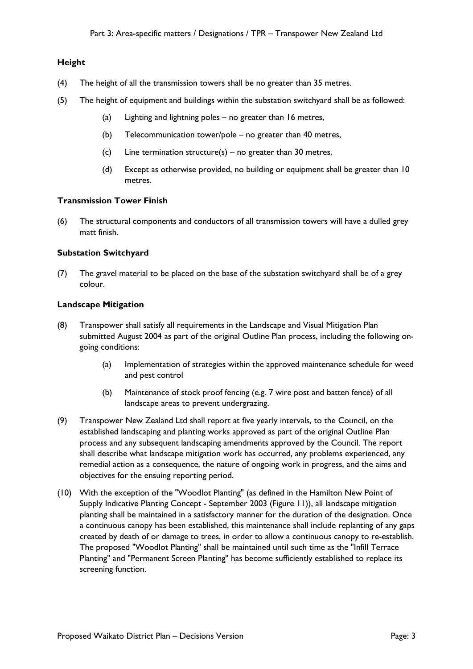# **Height**

- (4) The height of all the transmission towers shall be no greater than 35 metres.
- (5) The height of equipment and buildings within the substation switchyard shall be as followed:
	- (a) Lighting and lightning poles no greater than 16 metres,
	- (b) Telecommunication tower/pole no greater than 40 metres,
	- (c) Line termination structure(s) no greater than 30 metres,
	- (d) Except as otherwise provided, no building or equipment shall be greater than 10 metres.

#### **Transmission Tower Finish**

(6) The structural components and conductors of all transmission towers will have a dulled grey matt finish.

#### **Substation Switchyard**

(7) The gravel material to be placed on the base of the substation switchyard shall be of a grey colour.

#### **Landscape Mitigation**

- (8) Transpower shall satisfy all requirements in the Landscape and Visual Mitigation Plan submitted August 2004 as part of the original Outline Plan process, including the following ongoing conditions:
	- (a) Implementation of strategies within the approved maintenance schedule for weed and pest control
	- (b) Maintenance of stock proof fencing (e.g. 7 wire post and batten fence) of all landscape areas to prevent undergrazing.
- (9) Transpower New Zealand Ltd shall report at five yearly intervals, to the Council, on the established landscaping and planting works approved as part of the original Outline Plan process and any subsequent landscaping amendments approved by the Council. The report shall describe what landscape mitigation work has occurred, any problems experienced, any remedial action as a consequence, the nature of ongoing work in progress, and the aims and objectives for the ensuing reporting period.
- (10) With the exception of the "Woodlot Planting" (as defined in the Hamilton New Point of Supply Indicative Planting Concept - September 2003 (Figure 11)), all landscape mitigation planting shall be maintained in a satisfactory manner for the duration of the designation. Once a continuous canopy has been established, this maintenance shall include replanting of any gaps created by death of or damage to trees, in order to allow a continuous canopy to re-establish. The proposed "Woodlot Planting" shall be maintained until such time as the "Infill Terrace Planting" and "Permanent Screen Planting" has become sufficiently established to replace its screening function.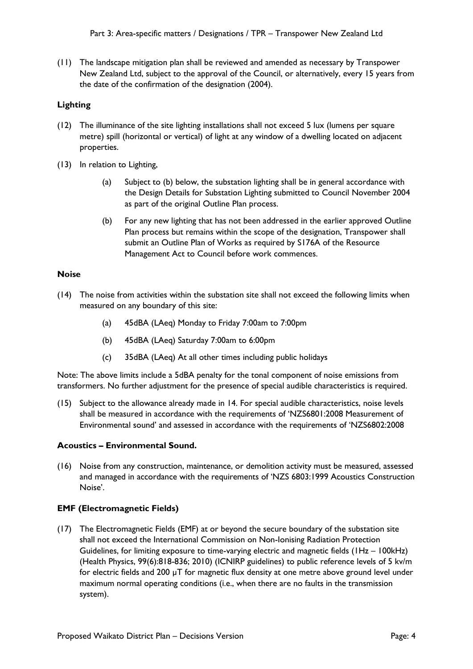(11) The landscape mitigation plan shall be reviewed and amended as necessary by Transpower New Zealand Ltd, subject to the approval of the Council, or alternatively, every 15 years from the date of the confirmation of the designation (2004).

# **Lighting**

- (12) The illuminance of the site lighting installations shall not exceed 5 lux (lumens per square metre) spill (horizontal or vertical) of light at any window of a dwelling located on adjacent properties.
- (13) In relation to Lighting,
	- (a) Subject to (b) below, the substation lighting shall be in general accordance with the Design Details for Substation Lighting submitted to Council November 2004 as part of the original Outline Plan process.
	- (b) For any new lighting that has not been addressed in the earlier approved Outline Plan process but remains within the scope of the designation, Transpower shall submit an Outline Plan of Works as required by S176A of the Resource Management Act to Council before work commences.

## **Noise**

- (14) The noise from activities within the substation site shall not exceed the following limits when measured on any boundary of this site:
	- (a) 45dBA (LAeq) Monday to Friday 7:00am to 7:00pm
	- (b) 45dBA (LAeq) Saturday 7:00am to 6:00pm
	- (c) 35dBA (LAeq) At all other times including public holidays

Note: The above limits include a 5dBA penalty for the tonal component of noise emissions from transformers. No further adjustment for the presence of special audible characteristics is required.

(15) Subject to the allowance already made in 14. For special audible characteristics, noise levels shall be measured in accordance with the requirements of 'NZS6801:2008 Measurement of Environmental sound' and assessed in accordance with the requirements of 'NZS6802:2008

# **Acoustics – Environmental Sound.**

(16) Noise from any construction, maintenance, or demolition activity must be measured, assessed and managed in accordance with the requirements of 'NZS 6803:1999 Acoustics Construction Noise'.

#### **EMF (Electromagnetic Fields)**

(17) The Electromagnetic Fields (EMF) at or beyond the secure boundary of the substation site shall not exceed the International Commission on Non-Ionising Radiation Protection Guidelines, for limiting exposure to time-varying electric and magnetic fields (1Hz – 100kHz) (Health Physics, 99(6):818-836; 2010) (ICNIRP guidelines) to public reference levels of 5 kv/m for electric fields and 200 µT for magnetic flux density at one metre above ground level under maximum normal operating conditions (i.e., when there are no faults in the transmission system).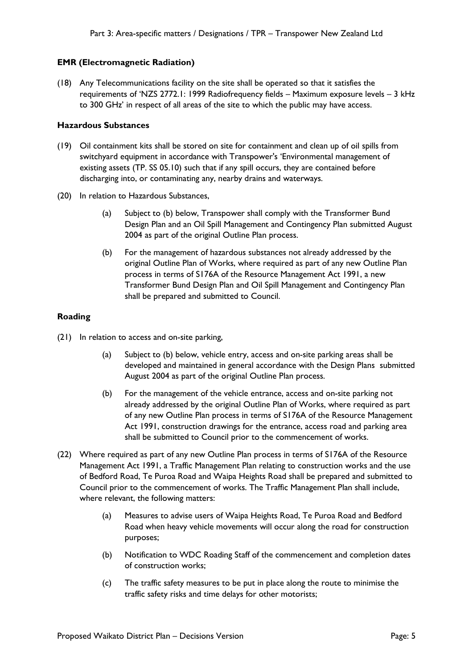#### **EMR (Electromagnetic Radiation)**

(18) Any Telecommunications facility on the site shall be operated so that it satisfies the requirements of 'NZS 2772.1: 1999 Radiofrequency fields – Maximum exposure levels – 3 kHz to 300 GHz' in respect of all areas of the site to which the public may have access.

#### **Hazardous Substances**

- (19) Oil containment kits shall be stored on site for containment and clean up of oil spills from switchyard equipment in accordance with Transpower's 'Environmental management of existing assets (TP. SS 05.10) such that if any spill occurs, they are contained before discharging into, or contaminating any, nearby drains and waterways.
- (20) In relation to Hazardous Substances,
	- (a) Subject to (b) below, Transpower shall comply with the Transformer Bund Design Plan and an Oil Spill Management and Contingency Plan submitted August 2004 as part of the original Outline Plan process.
	- (b) For the management of hazardous substances not already addressed by the original Outline Plan of Works, where required as part of any new Outline Plan process in terms of S176A of the Resource Management Act 1991, a new Transformer Bund Design Plan and Oil Spill Management and Contingency Plan shall be prepared and submitted to Council.

# **Roading**

- (21) In relation to access and on-site parking,
	- (a) Subject to (b) below, vehicle entry, access and on-site parking areas shall be developed and maintained in general accordance with the Design Plans submitted August 2004 as part of the original Outline Plan process.
	- (b) For the management of the vehicle entrance, access and on-site parking not already addressed by the original Outline Plan of Works, where required as part of any new Outline Plan process in terms of S176A of the Resource Management Act 1991, construction drawings for the entrance, access road and parking area shall be submitted to Council prior to the commencement of works.
- (22) Where required as part of any new Outline Plan process in terms of S176A of the Resource Management Act 1991, a Traffic Management Plan relating to construction works and the use of Bedford Road, Te Puroa Road and Waipa Heights Road shall be prepared and submitted to Council prior to the commencement of works. The Traffic Management Plan shall include, where relevant, the following matters:
	- (a) Measures to advise users of Waipa Heights Road, Te Puroa Road and Bedford Road when heavy vehicle movements will occur along the road for construction purposes;
	- (b) Notification to WDC Roading Staff of the commencement and completion dates of construction works;
	- (c) The traffic safety measures to be put in place along the route to minimise the traffic safety risks and time delays for other motorists;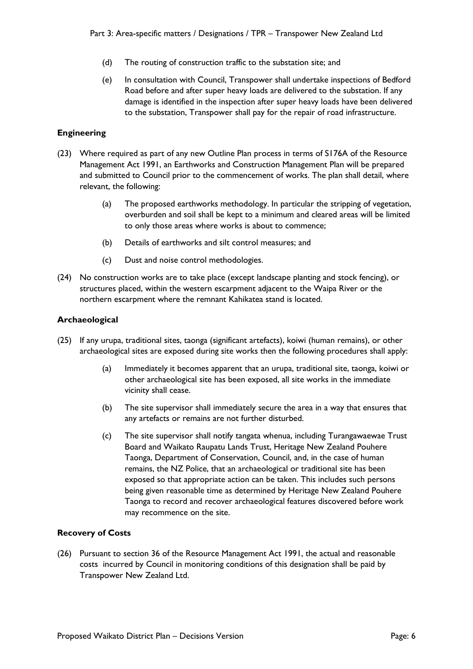- (d) The routing of construction traffic to the substation site; and
- (e) In consultation with Council, Transpower shall undertake inspections of Bedford Road before and after super heavy loads are delivered to the substation. If any damage is identified in the inspection after super heavy loads have been delivered to the substation, Transpower shall pay for the repair of road infrastructure.

# **Engineering**

- (23) Where required as part of any new Outline Plan process in terms of S176A of the Resource Management Act 1991, an Earthworks and Construction Management Plan will be prepared and submitted to Council prior to the commencement of works. The plan shall detail, where relevant, the following:
	- (a) The proposed earthworks methodology. In particular the stripping of vegetation, overburden and soil shall be kept to a minimum and cleared areas will be limited to only those areas where works is about to commence;
	- (b) Details of earthworks and silt control measures; and
	- (c) Dust and noise control methodologies.
- (24) No construction works are to take place (except landscape planting and stock fencing), or structures placed, within the western escarpment adjacent to the Waipa River or the northern escarpment where the remnant Kahikatea stand is located.

# **Archaeological**

- (25) If any urupa, traditional sites, taonga (significant artefacts), koiwi (human remains), or other archaeological sites are exposed during site works then the following procedures shall apply:
	- (a) Immediately it becomes apparent that an urupa, traditional site, taonga, koiwi or other archaeological site has been exposed, all site works in the immediate vicinity shall cease.
	- (b) The site supervisor shall immediately secure the area in a way that ensures that any artefacts or remains are not further disturbed.
	- (c) The site supervisor shall notify tangata whenua, including Turangawaewae Trust Board and Waikato Raupatu Lands Trust, Heritage New Zealand Pouhere Taonga, Department of Conservation, Council, and, in the case of human remains, the NZ Police, that an archaeological or traditional site has been exposed so that appropriate action can be taken. This includes such persons being given reasonable time as determined by Heritage New Zealand Pouhere Taonga to record and recover archaeological features discovered before work may recommence on the site.

# **Recovery of Costs**

(26) Pursuant to section 36 of the Resource Management Act 1991, the actual and reasonable costs incurred by Council in monitoring conditions of this designation shall be paid by Transpower New Zealand Ltd.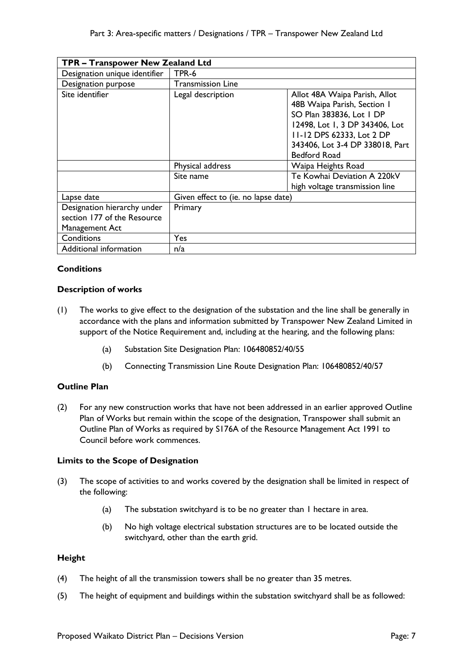| TPR - Transpower New Zealand Ltd                                             |                                     |                                                                                                                                                                                                                   |  |
|------------------------------------------------------------------------------|-------------------------------------|-------------------------------------------------------------------------------------------------------------------------------------------------------------------------------------------------------------------|--|
| Designation unique identifier                                                | TPR-6                               |                                                                                                                                                                                                                   |  |
| Designation purpose                                                          | Transmission Line                   |                                                                                                                                                                                                                   |  |
| Site identifier                                                              | Legal description                   | Allot 48A Waipa Parish, Allot<br>48B Waipa Parish, Section I<br>SO Plan 383836, Lot 1 DP<br>12498, Lot 1, 3 DP 343406, Lot<br>11-12 DPS 62333, Lot 2 DP<br>343406, Lot 3-4 DP 338018, Part<br><b>Bedford Road</b> |  |
|                                                                              | Physical address                    | Waipa Heights Road                                                                                                                                                                                                |  |
|                                                                              | Site name                           | Te Kowhai Deviation A 220kV<br>high voltage transmission line                                                                                                                                                     |  |
| Lapse date                                                                   | Given effect to (ie. no lapse date) |                                                                                                                                                                                                                   |  |
| Designation hierarchy under<br>section 177 of the Resource<br>Management Act | Primary                             |                                                                                                                                                                                                                   |  |
| Conditions                                                                   | Yes                                 |                                                                                                                                                                                                                   |  |
| Additional information                                                       | n/a                                 |                                                                                                                                                                                                                   |  |

# **Conditions**

## **Description of works**

- (1) The works to give effect to the designation of the substation and the line shall be generally in accordance with the plans and information submitted by Transpower New Zealand Limited in support of the Notice Requirement and, including at the hearing, and the following plans:
	- (a) Substation Site Designation Plan: 106480852/40/55
	- (b) Connecting Transmission Line Route Designation Plan: 106480852/40/57

# **Outline Plan**

(2) For any new construction works that have not been addressed in an earlier approved Outline Plan of Works but remain within the scope of the designation, Transpower shall submit an Outline Plan of Works as required by S176A of the Resource Management Act 1991 to Council before work commences.

#### **Limits to the Scope of Designation**

- (3) The scope of activities to and works covered by the designation shall be limited in respect of the following:
	- (a) The substation switchyard is to be no greater than 1 hectare in area.
	- (b) No high voltage electrical substation structures are to be located outside the switchyard, other than the earth grid.

#### **Height**

- (4) The height of all the transmission towers shall be no greater than 35 metres.
- (5) The height of equipment and buildings within the substation switchyard shall be as followed: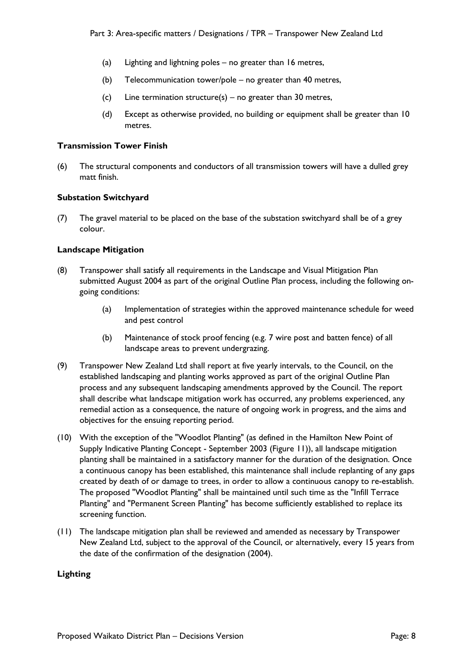- (a) Lighting and lightning poles no greater than 16 metres,
- (b) Telecommunication tower/pole no greater than 40 metres,
- (c) Line termination structure(s) no greater than 30 metres,
- (d) Except as otherwise provided, no building or equipment shall be greater than 10 metres.

## **Transmission Tower Finish**

(6) The structural components and conductors of all transmission towers will have a dulled grey matt finish.

## **Substation Switchyard**

(7) The gravel material to be placed on the base of the substation switchyard shall be of a grey colour.

## **Landscape Mitigation**

- (8) Transpower shall satisfy all requirements in the Landscape and Visual Mitigation Plan submitted August 2004 as part of the original Outline Plan process, including the following ongoing conditions:
	- (a) Implementation of strategies within the approved maintenance schedule for weed and pest control
	- (b) Maintenance of stock proof fencing (e.g. 7 wire post and batten fence) of all landscape areas to prevent undergrazing.
- (9) Transpower New Zealand Ltd shall report at five yearly intervals, to the Council, on the established landscaping and planting works approved as part of the original Outline Plan process and any subsequent landscaping amendments approved by the Council. The report shall describe what landscape mitigation work has occurred, any problems experienced, any remedial action as a consequence, the nature of ongoing work in progress, and the aims and objectives for the ensuing reporting period.
- (10) With the exception of the "Woodlot Planting" (as defined in the Hamilton New Point of Supply Indicative Planting Concept - September 2003 (Figure 11)), all landscape mitigation planting shall be maintained in a satisfactory manner for the duration of the designation. Once a continuous canopy has been established, this maintenance shall include replanting of any gaps created by death of or damage to trees, in order to allow a continuous canopy to re-establish. The proposed "Woodlot Planting" shall be maintained until such time as the "Infill Terrace Planting" and "Permanent Screen Planting" has become sufficiently established to replace its screening function.
- (11) The landscape mitigation plan shall be reviewed and amended as necessary by Transpower New Zealand Ltd, subject to the approval of the Council, or alternatively, every 15 years from the date of the confirmation of the designation (2004).

# **Lighting**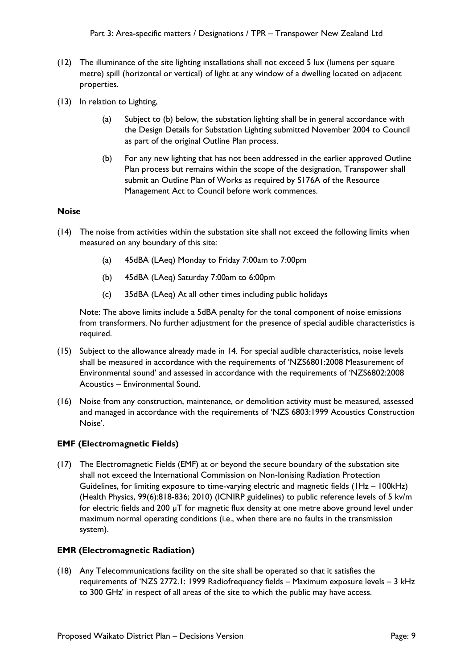- (12) The illuminance of the site lighting installations shall not exceed 5 lux (lumens per square metre) spill (horizontal or vertical) of light at any window of a dwelling located on adjacent properties.
- (13) In relation to Lighting,
	- (a) Subject to (b) below, the substation lighting shall be in general accordance with the Design Details for Substation Lighting submitted November 2004 to Council as part of the original Outline Plan process.
	- (b) For any new lighting that has not been addressed in the earlier approved Outline Plan process but remains within the scope of the designation, Transpower shall submit an Outline Plan of Works as required by S176A of the Resource Management Act to Council before work commences.

# **Noise**

- (14) The noise from activities within the substation site shall not exceed the following limits when measured on any boundary of this site:
	- (a) 45dBA (LAeq) Monday to Friday 7:00am to 7:00pm
	- (b) 45dBA (LAeq) Saturday 7:00am to 6:00pm
	- (c) 35dBA (LAeq) At all other times including public holidays

Note: The above limits include a 5dBA penalty for the tonal component of noise emissions from transformers. No further adjustment for the presence of special audible characteristics is required.

- (15) Subject to the allowance already made in 14. For special audible characteristics, noise levels shall be measured in accordance with the requirements of 'NZS6801:2008 Measurement of Environmental sound' and assessed in accordance with the requirements of 'NZS6802:2008 Acoustics – Environmental Sound.
- (16) Noise from any construction, maintenance, or demolition activity must be measured, assessed and managed in accordance with the requirements of 'NZS 6803:1999 Acoustics Construction Noise'.

# **EMF (Electromagnetic Fields)**

(17) The Electromagnetic Fields (EMF) at or beyond the secure boundary of the substation site shall not exceed the International Commission on Non-Ionising Radiation Protection Guidelines, for limiting exposure to time-varying electric and magnetic fields (1Hz – 100kHz) (Health Physics, 99(6):818-836; 2010) (ICNIRP guidelines) to public reference levels of 5 kv/m for electric fields and 200 µT for magnetic flux density at one metre above ground level under maximum normal operating conditions (i.e., when there are no faults in the transmission system).

#### **EMR (Electromagnetic Radiation)**

(18) Any Telecommunications facility on the site shall be operated so that it satisfies the requirements of 'NZS 2772.1: 1999 Radiofrequency fields – Maximum exposure levels – 3 kHz to 300 GHz' in respect of all areas of the site to which the public may have access.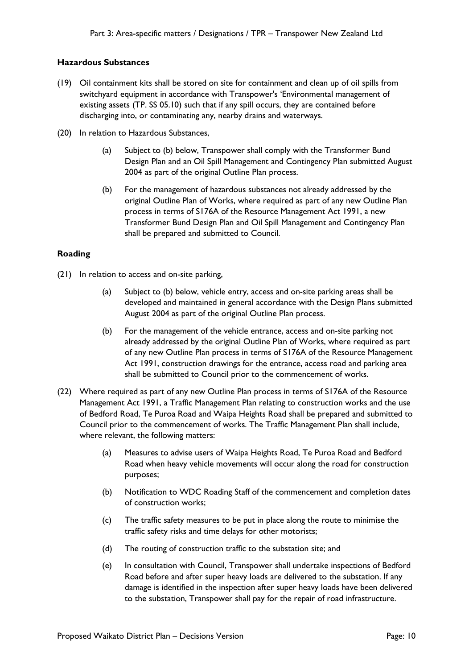## **Hazardous Substances**

- (19) Oil containment kits shall be stored on site for containment and clean up of oil spills from switchyard equipment in accordance with Transpower's 'Environmental management of existing assets (TP. SS 05.10) such that if any spill occurs, they are contained before discharging into, or contaminating any, nearby drains and waterways.
- (20) In relation to Hazardous Substances,
	- (a) Subject to (b) below, Transpower shall comply with the Transformer Bund Design Plan and an Oil Spill Management and Contingency Plan submitted August 2004 as part of the original Outline Plan process.
	- (b) For the management of hazardous substances not already addressed by the original Outline Plan of Works, where required as part of any new Outline Plan process in terms of S176A of the Resource Management Act 1991, a new Transformer Bund Design Plan and Oil Spill Management and Contingency Plan shall be prepared and submitted to Council.

# **Roading**

- (21) In relation to access and on-site parking,
	- (a) Subject to (b) below, vehicle entry, access and on-site parking areas shall be developed and maintained in general accordance with the Design Plans submitted August 2004 as part of the original Outline Plan process.
	- (b) For the management of the vehicle entrance, access and on-site parking not already addressed by the original Outline Plan of Works, where required as part of any new Outline Plan process in terms of S176A of the Resource Management Act 1991, construction drawings for the entrance, access road and parking area shall be submitted to Council prior to the commencement of works.
- (22) Where required as part of any new Outline Plan process in terms of S176A of the Resource Management Act 1991, a Traffic Management Plan relating to construction works and the use of Bedford Road, Te Puroa Road and Waipa Heights Road shall be prepared and submitted to Council prior to the commencement of works. The Traffic Management Plan shall include, where relevant, the following matters:
	- (a) Measures to advise users of Waipa Heights Road, Te Puroa Road and Bedford Road when heavy vehicle movements will occur along the road for construction purposes;
	- (b) Notification to WDC Roading Staff of the commencement and completion dates of construction works;
	- (c) The traffic safety measures to be put in place along the route to minimise the traffic safety risks and time delays for other motorists;
	- (d) The routing of construction traffic to the substation site; and
	- (e) In consultation with Council, Transpower shall undertake inspections of Bedford Road before and after super heavy loads are delivered to the substation. If any damage is identified in the inspection after super heavy loads have been delivered to the substation, Transpower shall pay for the repair of road infrastructure.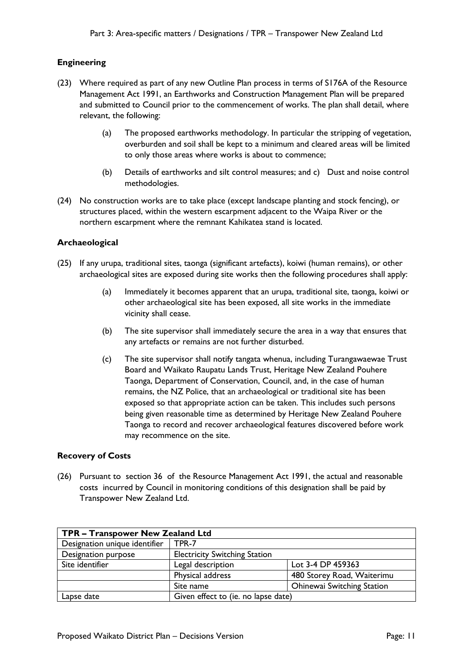# **Engineering**

- (23) Where required as part of any new Outline Plan process in terms of S176A of the Resource Management Act 1991, an Earthworks and Construction Management Plan will be prepared and submitted to Council prior to the commencement of works. The plan shall detail, where relevant, the following:
	- (a) The proposed earthworks methodology. In particular the stripping of vegetation, overburden and soil shall be kept to a minimum and cleared areas will be limited to only those areas where works is about to commence;
	- (b) Details of earthworks and silt control measures; and c) Dust and noise control methodologies.
- (24) No construction works are to take place (except landscape planting and stock fencing), or structures placed, within the western escarpment adjacent to the Waipa River or the northern escarpment where the remnant Kahikatea stand is located.

# **Archaeological**

- (25) If any urupa, traditional sites, taonga (significant artefacts), koiwi (human remains), or other archaeological sites are exposed during site works then the following procedures shall apply:
	- (a) Immediately it becomes apparent that an urupa, traditional site, taonga, koiwi or other archaeological site has been exposed, all site works in the immediate vicinity shall cease.
	- (b) The site supervisor shall immediately secure the area in a way that ensures that any artefacts or remains are not further disturbed.
	- (c) The site supervisor shall notify tangata whenua, including Turangawaewae Trust Board and Waikato Raupatu Lands Trust, Heritage New Zealand Pouhere Taonga, Department of Conservation, Council, and, in the case of human remains, the NZ Police, that an archaeological or traditional site has been exposed so that appropriate action can be taken. This includes such persons being given reasonable time as determined by Heritage New Zealand Pouhere Taonga to record and recover archaeological features discovered before work may recommence on the site.

# **Recovery of Costs**

(26) Pursuant to section 36 of the Resource Management Act 1991, the actual and reasonable costs incurred by Council in monitoring conditions of this designation shall be paid by Transpower New Zealand Ltd.

| TPR - Transpower New Zealand Ltd |                                      |                                   |  |
|----------------------------------|--------------------------------------|-----------------------------------|--|
| Designation unique identifier    | TPR-7                                |                                   |  |
| Designation purpose              | <b>Electricity Switching Station</b> |                                   |  |
| Site identifier                  | Legal description                    | Lot 3-4 DP 459363                 |  |
|                                  | Physical address                     | 480 Storey Road, Waiterimu        |  |
|                                  | Site name                            | <b>Ohinewai Switching Station</b> |  |
| Lapse date                       | Given effect to (ie. no lapse date)  |                                   |  |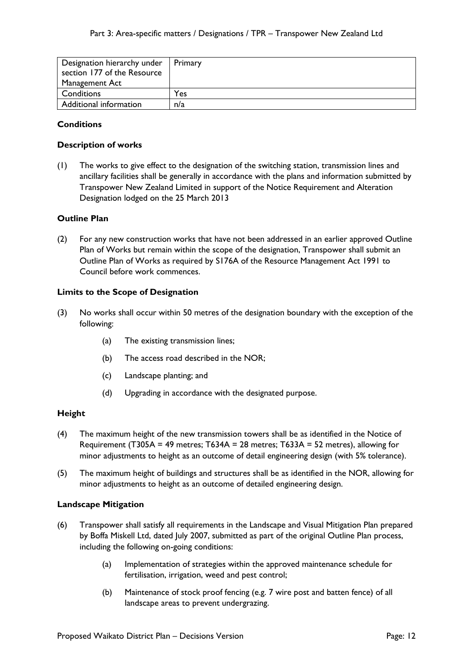| Designation hierarchy under | Primary |
|-----------------------------|---------|
| section 177 of the Resource |         |
| Management Act              |         |
| Conditions                  | Yes     |
| Additional information      | n/a     |

# **Conditions**

## **Description of works**

(1) The works to give effect to the designation of the switching station, transmission lines and ancillary facilities shall be generally in accordance with the plans and information submitted by Transpower New Zealand Limited in support of the Notice Requirement and Alteration Designation lodged on the 25 March 2013

## **Outline Plan**

(2) For any new construction works that have not been addressed in an earlier approved Outline Plan of Works but remain within the scope of the designation, Transpower shall submit an Outline Plan of Works as required by S176A of the Resource Management Act 1991 to Council before work commences.

#### **Limits to the Scope of Designation**

- (3) No works shall occur within 50 metres of the designation boundary with the exception of the following:
	- (a) The existing transmission lines;
	- (b) The access road described in the NOR;
	- (c) Landscape planting; and
	- (d) Upgrading in accordance with the designated purpose.

#### **Height**

- (4) The maximum height of the new transmission towers shall be as identified in the Notice of Requirement (T305A = 49 metres; T634A = 28 metres; T633A = 52 metres), allowing for minor adjustments to height as an outcome of detail engineering design (with 5% tolerance).
- (5) The maximum height of buildings and structures shall be as identified in the NOR, allowing for minor adjustments to height as an outcome of detailed engineering design.

#### **Landscape Mitigation**

- (6) Transpower shall satisfy all requirements in the Landscape and Visual Mitigation Plan prepared by Boffa Miskell Ltd, dated July 2007, submitted as part of the original Outline Plan process, including the following on-going conditions:
	- (a) Implementation of strategies within the approved maintenance schedule for fertilisation, irrigation, weed and pest control;
	- (b) Maintenance of stock proof fencing (e.g. 7 wire post and batten fence) of all landscape areas to prevent undergrazing.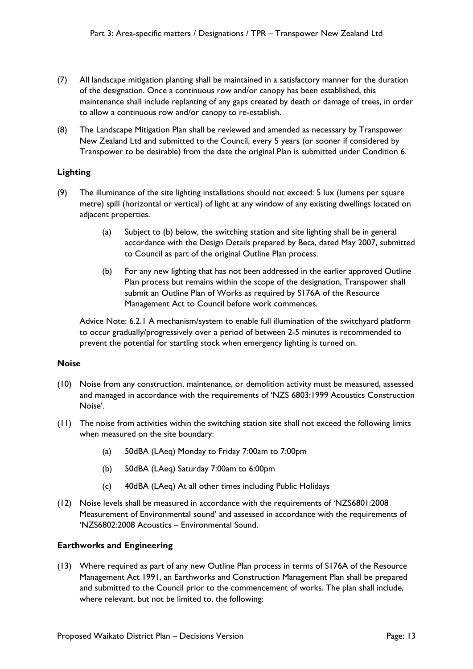- (7) All landscape mitigation planting shall be maintained in a satisfactory manner for the duration of the designation. Once a continuous row and/or canopy has been established, this maintenance shall include replanting of any gaps created by death or damage of trees, in order to allow a continuous row and/or canopy to re-establish.
- (8) The Landscape Mitigation Plan shall be reviewed and amended as necessary by Transpower New Zealand Ltd and submitted to the Council, every 5 years (or sooner if considered by Transpower to be desirable) from the date the original Plan is submitted under Condition 6.

# **Lighting**

- (9) The illuminance of the site lighting installations should not exceed: 5 lux (lumens per square metre) spill (horizontal or vertical) of light at any window of any existing dwellings located on adjacent properties.
	- (a) Subject to (b) below, the switching station and site lighting shall be in general accordance with the Design Details prepared by Beca, dated May 2007, submitted to Council as part of the original Outline Plan process.
	- (b) For any new lighting that has not been addressed in the earlier approved Outline Plan process but remains within the scope of the designation, Transpower shall submit an Outline Plan of Works as required by S176A of the Resource Management Act to Council before work commences.

Advice Note: 6.2.1 A mechanism/system to enable full illumination of the switchyard platform to occur gradually/progressively over a period of between 2-5 minutes is recommended to prevent the potential for startling stock when emergency lighting is turned on.

#### **Noise**

- (10) Noise from any construction, maintenance, or demolition activity must be measured, assessed and managed in accordance with the requirements of 'NZS 6803:1999 Acoustics Construction Noise'.
- (11) The noise from activities within the switching station site shall not exceed the following limits when measured on the site boundary:
	- (a) 50dBA (LAeq) Monday to Friday 7:00am to 7:00pm
	- (b) 50dBA (LAeq) Saturday 7:00am to 6:00pm
	- (c) 40dBA (LAeq) At all other times including Public Holidays
- (12) Noise levels shall be measured in accordance with the requirements of 'NZS6801:2008 Measurement of Environmental sound' and assessed in accordance with the requirements of 'NZS6802:2008 Acoustics – Environmental Sound.

#### **Earthworks and Engineering**

(13) Where required as part of any new Outline Plan process in terms of S176A of the Resource Management Act 1991, an Earthworks and Construction Management Plan shall be prepared and submitted to the Council prior to the commencement of works. The plan shall include, where relevant, but not be limited to, the following: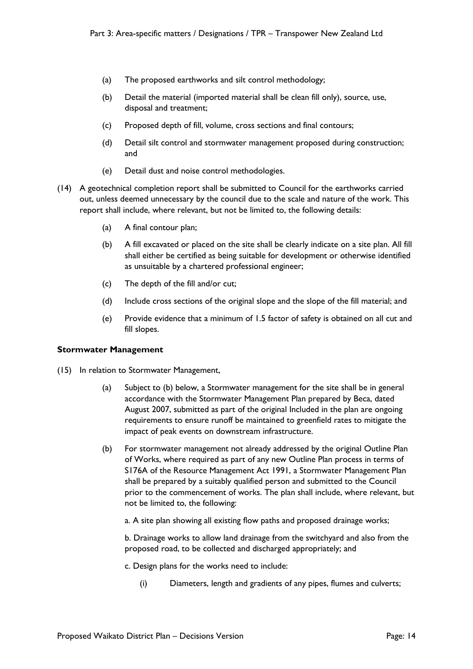- (a) The proposed earthworks and silt control methodology;
- (b) Detail the material (imported material shall be clean fill only), source, use, disposal and treatment;
- (c) Proposed depth of fill, volume, cross sections and final contours;
- (d) Detail silt control and stormwater management proposed during construction; and
- (e) Detail dust and noise control methodologies.
- (14) A geotechnical completion report shall be submitted to Council for the earthworks carried out, unless deemed unnecessary by the council due to the scale and nature of the work. This report shall include, where relevant, but not be limited to, the following details:
	- (a) A final contour plan;
	- (b) A fill excavated or placed on the site shall be clearly indicate on a site plan. All fill shall either be certified as being suitable for development or otherwise identified as unsuitable by a chartered professional engineer;
	- (c) The depth of the fill and/or cut;
	- (d) Include cross sections of the original slope and the slope of the fill material; and
	- (e) Provide evidence that a minimum of 1.5 factor of safety is obtained on all cut and fill slopes.

#### **Stormwater Management**

- (15) In relation to Stormwater Management,
	- (a) Subject to (b) below, a Stormwater management for the site shall be in general accordance with the Stormwater Management Plan prepared by Beca, dated August 2007, submitted as part of the original Included in the plan are ongoing requirements to ensure runoff be maintained to greenfield rates to mitigate the impact of peak events on downstream infrastructure.
	- (b) For stormwater management not already addressed by the original Outline Plan of Works, where required as part of any new Outline Plan process in terms of S176A of the Resource Management Act 1991, a Stormwater Management Plan shall be prepared by a suitably qualified person and submitted to the Council prior to the commencement of works. The plan shall include, where relevant, but not be limited to, the following:
		- a. A site plan showing all existing flow paths and proposed drainage works;

b. Drainage works to allow land drainage from the switchyard and also from the proposed road, to be collected and discharged appropriately; and

- c. Design plans for the works need to include:
	- (i) Diameters, length and gradients of any pipes, flumes and culverts;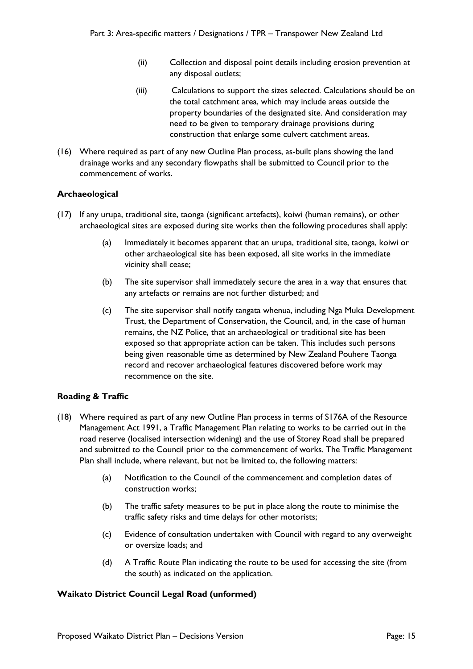- (ii) Collection and disposal point details including erosion prevention at any disposal outlets;
- (iii) Calculations to support the sizes selected. Calculations should be on the total catchment area, which may include areas outside the property boundaries of the designated site. And consideration may need to be given to temporary drainage provisions during construction that enlarge some culvert catchment areas.
- (16) Where required as part of any new Outline Plan process, as-built plans showing the land drainage works and any secondary flowpaths shall be submitted to Council prior to the commencement of works.

# **Archaeological**

- (17) If any urupa, traditional site, taonga (significant artefacts), koiwi (human remains), or other archaeological sites are exposed during site works then the following procedures shall apply:
	- (a) Immediately it becomes apparent that an urupa, traditional site, taonga, koiwi or other archaeological site has been exposed, all site works in the immediate vicinity shall cease;
	- (b) The site supervisor shall immediately secure the area in a way that ensures that any artefacts or remains are not further disturbed; and
	- (c) The site supervisor shall notify tangata whenua, including Nga Muka Development Trust, the Department of Conservation, the Council, and, in the case of human remains, the NZ Police, that an archaeological or traditional site has been exposed so that appropriate action can be taken. This includes such persons being given reasonable time as determined by New Zealand Pouhere Taonga record and recover archaeological features discovered before work may recommence on the site.

# **Roading & Traffic**

- (18) Where required as part of any new Outline Plan process in terms of S176A of the Resource Management Act 1991, a Traffic Management Plan relating to works to be carried out in the road reserve (localised intersection widening) and the use of Storey Road shall be prepared and submitted to the Council prior to the commencement of works. The Traffic Management Plan shall include, where relevant, but not be limited to, the following matters:
	- (a) Notification to the Council of the commencement and completion dates of construction works;
	- (b) The traffic safety measures to be put in place along the route to minimise the traffic safety risks and time delays for other motorists;
	- (c) Evidence of consultation undertaken with Council with regard to any overweight or oversize loads; and
	- (d) A Traffic Route Plan indicating the route to be used for accessing the site (from the south) as indicated on the application.

#### **Waikato District Council Legal Road (unformed)**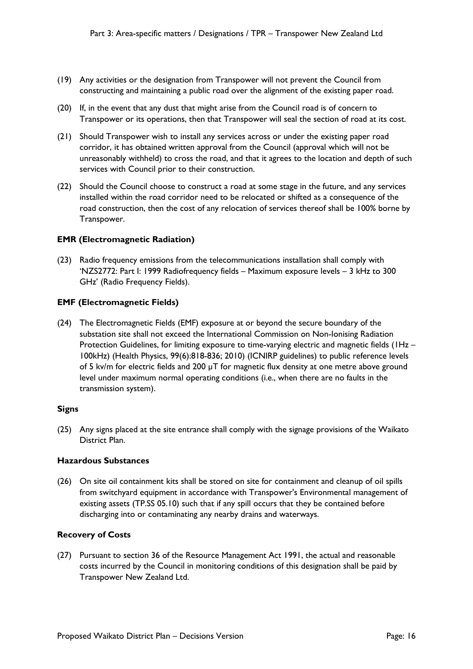- (19) Any activities or the designation from Transpower will not prevent the Council from constructing and maintaining a public road over the alignment of the existing paper road.
- (20) If, in the event that any dust that might arise from the Council road is of concern to Transpower or its operations, then that Transpower will seal the section of road at its cost.
- (21) Should Transpower wish to install any services across or under the existing paper road corridor, it has obtained written approval from the Council (approval which will not be unreasonably withheld) to cross the road, and that it agrees to the location and depth of such services with Council prior to their construction.
- (22) Should the Council choose to construct a road at some stage in the future, and any services installed within the road corridor need to be relocated or shifted as a consequence of the road construction, then the cost of any relocation of services thereof shall be 100% borne by Transpower.

## **EMR (Electromagnetic Radiation)**

(23) Radio frequency emissions from the telecommunications installation shall comply with 'NZS2772: Part I: 1999 Radiofrequency fields – Maximum exposure levels – 3 kHz to 300 GHz' (Radio Frequency Fields).

## **EMF (Electromagnetic Fields)**

(24) The Electromagnetic Fields (EMF) exposure at or beyond the secure boundary of the substation site shall not exceed the International Commission on Non-Ionising Radiation Protection Guidelines, for limiting exposure to time-varying electric and magnetic fields (IHz – 100kHz) (Health Physics, 99(6):818-836; 2010) (ICNIRP guidelines) to public reference levels of 5 kv/m for electric fields and 200  $\mu$ T for magnetic flux density at one metre above ground level under maximum normal operating conditions (i.e., when there are no faults in the transmission system).

#### **Signs**

(25) Any signs placed at the site entrance shall comply with the signage provisions of the Waikato District Plan.

#### **Hazardous Substances**

(26) On site oil containment kits shall be stored on site for containment and cleanup of oil spills from switchyard equipment in accordance with Transpower's Environmental management of existing assets (TP.SS 05.10) such that if any spill occurs that they be contained before discharging into or contaminating any nearby drains and waterways.

#### **Recovery of Costs**

(27) Pursuant to section 36 of the Resource Management Act 1991, the actual and reasonable costs incurred by the Council in monitoring conditions of this designation shall be paid by Transpower New Zealand Ltd.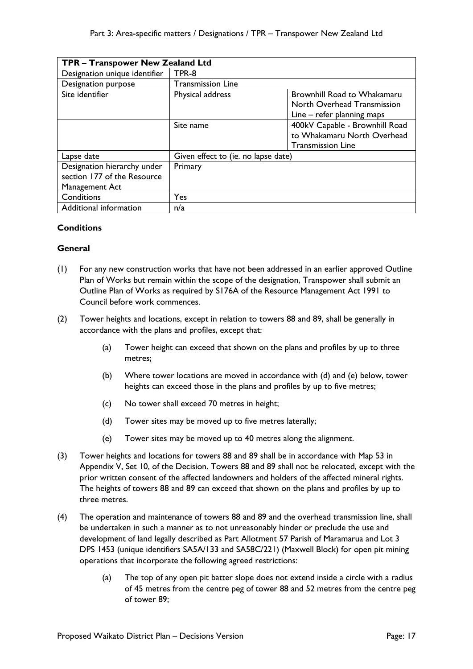| TPR - Transpower New Zealand Ltd |                                     |                                    |
|----------------------------------|-------------------------------------|------------------------------------|
| Designation unique identifier    | TPR-8                               |                                    |
| Designation purpose              | <b>Transmission Line</b>            |                                    |
| Site identifier                  | Physical address                    | <b>Brownhill Road to Whakamaru</b> |
|                                  |                                     | North Overhead Transmission        |
|                                  |                                     | Line – refer planning maps         |
|                                  | Site name                           | 400kV Capable - Brownhill Road     |
|                                  |                                     | to Whakamaru North Overhead        |
|                                  |                                     | <b>Transmission Line</b>           |
| Lapse date                       | Given effect to (ie. no lapse date) |                                    |
| Designation hierarchy under      | Primary                             |                                    |
| section 177 of the Resource      |                                     |                                    |
| Management Act                   |                                     |                                    |
| Conditions                       | Yes                                 |                                    |
| Additional information           | n/a                                 |                                    |

# **Conditions**

# **General**

- (1) For any new construction works that have not been addressed in an earlier approved Outline Plan of Works but remain within the scope of the designation, Transpower shall submit an Outline Plan of Works as required by S176A of the Resource Management Act 1991 to Council before work commences.
- (2) Tower heights and locations, except in relation to towers 88 and 89, shall be generally in accordance with the plans and profiles, except that:
	- (a) Tower height can exceed that shown on the plans and profiles by up to three metres;
	- (b) Where tower locations are moved in accordance with (d) and (e) below, tower heights can exceed those in the plans and profiles by up to five metres;
	- (c) No tower shall exceed 70 metres in height;
	- (d) Tower sites may be moved up to five metres laterally;
	- (e) Tower sites may be moved up to 40 metres along the alignment.
- (3) Tower heights and locations for towers 88 and 89 shall be in accordance with Map 53 in Appendix V, Set 10, of the Decision. Towers 88 and 89 shall not be relocated, except with the prior written consent of the affected landowners and holders of the affected mineral rights. The heights of towers 88 and 89 can exceed that shown on the plans and profiles by up to three metres.
- (4) The operation and maintenance of towers 88 and 89 and the overhead transmission line, shall be undertaken in such a manner as to not unreasonably hinder or preclude the use and development of land legally described as Part Allotment 57 Parish of Maramarua and Lot 3 DPS 1453 (unique identifiers SA5A/133 and SA58C/221) (Maxwell Block) for open pit mining operations that incorporate the following agreed restrictions:
	- (a) The top of any open pit batter slope does not extend inside a circle with a radius of 45 metres from the centre peg of tower 88 and 52 metres from the centre peg of tower 89;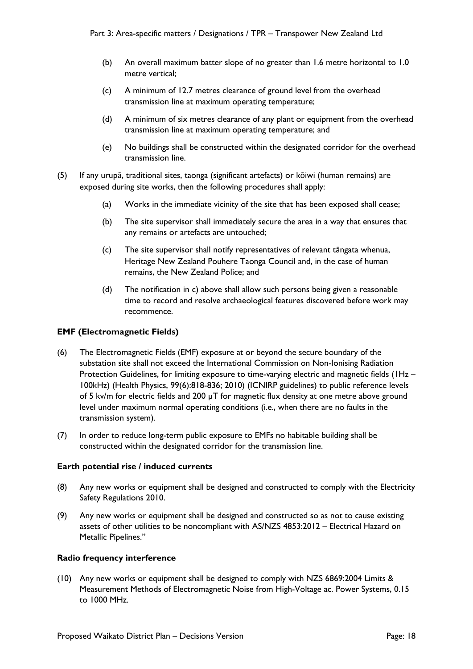- (b) An overall maximum batter slope of no greater than 1.6 metre horizontal to 1.0 metre vertical;
- (c) A minimum of 12.7 metres clearance of ground level from the overhead transmission line at maximum operating temperature;
- (d) A minimum of six metres clearance of any plant or equipment from the overhead transmission line at maximum operating temperature; and
- (e) No buildings shall be constructed within the designated corridor for the overhead transmission line.
- (5) If any urupā, traditional sites, taonga (significant artefacts) or kōiwi (human remains) are exposed during site works, then the following procedures shall apply:
	- (a) Works in the immediate vicinity of the site that has been exposed shall cease;
	- (b) The site supervisor shall immediately secure the area in a way that ensures that any remains or artefacts are untouched;
	- (c) The site supervisor shall notify representatives of relevant tāngata whenua, Heritage New Zealand Pouhere Taonga Council and, in the case of human remains, the New Zealand Police; and
	- (d) The notification in c) above shall allow such persons being given a reasonable time to record and resolve archaeological features discovered before work may recommence.

## **EMF (Electromagnetic Fields)**

- (6) The Electromagnetic Fields (EMF) exposure at or beyond the secure boundary of the substation site shall not exceed the International Commission on Non-Ionising Radiation Protection Guidelines, for limiting exposure to time-varying electric and magnetic fields (1Hz – 100kHz) (Health Physics, 99(6):818-836; 2010) (ICNIRP guidelines) to public reference levels of 5 kv/m for electric fields and 200 µT for magnetic flux density at one metre above ground level under maximum normal operating conditions (i.e., when there are no faults in the transmission system).
- (7) In order to reduce long-term public exposure to EMFs no habitable building shall be constructed within the designated corridor for the transmission line.

#### **Earth potential rise / induced currents**

- (8) Any new works or equipment shall be designed and constructed to comply with the Electricity Safety Regulations 2010.
- (9) Any new works or equipment shall be designed and constructed so as not to cause existing assets of other utilities to be noncompliant with AS/NZS 4853:2012 – Electrical Hazard on Metallic Pipelines."

#### **Radio frequency interference**

(10) Any new works or equipment shall be designed to comply with NZS 6869:2004 Limits & Measurement Methods of Electromagnetic Noise from High-Voltage ac. Power Systems, 0.15 to 1000 MHz.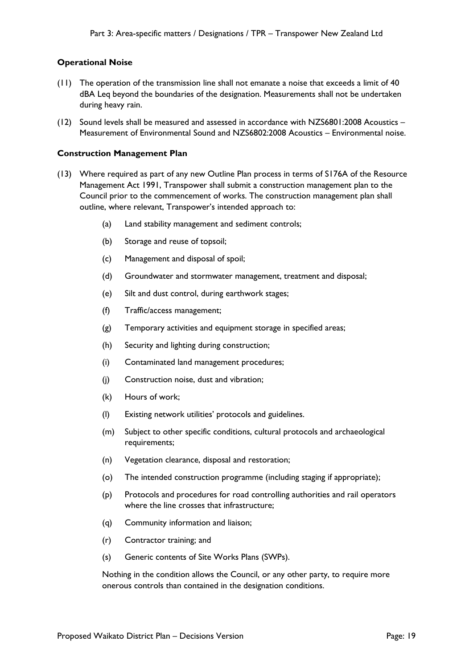## **Operational Noise**

- (11) The operation of the transmission line shall not emanate a noise that exceeds a limit of 40 dBA Leq beyond the boundaries of the designation. Measurements shall not be undertaken during heavy rain.
- (12) Sound levels shall be measured and assessed in accordance with NZS6801:2008 Acoustics Measurement of Environmental Sound and NZS6802:2008 Acoustics – Environmental noise.

#### **Construction Management Plan**

- (13) Where required as part of any new Outline Plan process in terms of S176A of the Resource Management Act 1991, Transpower shall submit a construction management plan to the Council prior to the commencement of works. The construction management plan shall outline, where relevant, Transpower's intended approach to:
	- (a) Land stability management and sediment controls;
	- (b) Storage and reuse of topsoil;
	- (c) Management and disposal of spoil;
	- (d) Groundwater and stormwater management, treatment and disposal;
	- (e) Silt and dust control, during earthwork stages;
	- (f) Traffic/access management;
	- (g) Temporary activities and equipment storage in specified areas;
	- (h) Security and lighting during construction;
	- (i) Contaminated land management procedures;
	- (j) Construction noise, dust and vibration;
	- (k) Hours of work;
	- (l) Existing network utilities' protocols and guidelines.
	- (m) Subject to other specific conditions, cultural protocols and archaeological requirements;
	- (n) Vegetation clearance, disposal and restoration;
	- (o) The intended construction programme (including staging if appropriate);
	- (p) Protocols and procedures for road controlling authorities and rail operators where the line crosses that infrastructure;
	- (q) Community information and liaison;
	- (r) Contractor training; and
	- (s) Generic contents of Site Works Plans (SWPs).

Nothing in the condition allows the Council, or any other party, to require more onerous controls than contained in the designation conditions.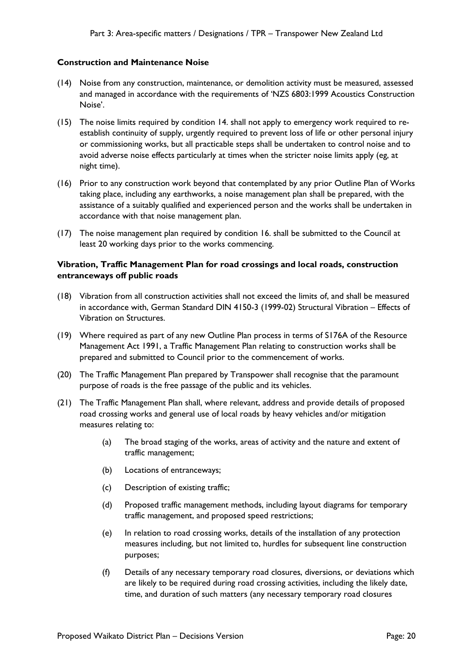#### **Construction and Maintenance Noise**

- (14) Noise from any construction, maintenance, or demolition activity must be measured, assessed and managed in accordance with the requirements of 'NZS 6803:1999 Acoustics Construction Noise'.
- (15) The noise limits required by condition 14. shall not apply to emergency work required to reestablish continuity of supply, urgently required to prevent loss of life or other personal injury or commissioning works, but all practicable steps shall be undertaken to control noise and to avoid adverse noise effects particularly at times when the stricter noise limits apply (eg, at night time).
- (16) Prior to any construction work beyond that contemplated by any prior Outline Plan of Works taking place, including any earthworks, a noise management plan shall be prepared, with the assistance of a suitably qualified and experienced person and the works shall be undertaken in accordance with that noise management plan.
- (17) The noise management plan required by condition 16. shall be submitted to the Council at least 20 working days prior to the works commencing.

## **Vibration, Traffic Management Plan for road crossings and local roads, construction entranceways off public roads**

- (18) Vibration from all construction activities shall not exceed the limits of, and shall be measured in accordance with, German Standard DIN 4150-3 (1999-02) Structural Vibration – Effects of Vibration on Structures.
- (19) Where required as part of any new Outline Plan process in terms of S176A of the Resource Management Act 1991, a Traffic Management Plan relating to construction works shall be prepared and submitted to Council prior to the commencement of works.
- (20) The Traffic Management Plan prepared by Transpower shall recognise that the paramount purpose of roads is the free passage of the public and its vehicles.
- (21) The Traffic Management Plan shall, where relevant, address and provide details of proposed road crossing works and general use of local roads by heavy vehicles and/or mitigation measures relating to:
	- (a) The broad staging of the works, areas of activity and the nature and extent of traffic management;
	- (b) Locations of entranceways;
	- (c) Description of existing traffic;
	- (d) Proposed traffic management methods, including layout diagrams for temporary traffic management, and proposed speed restrictions;
	- (e) In relation to road crossing works, details of the installation of any protection measures including, but not limited to, hurdles for subsequent line construction purposes;
	- (f) Details of any necessary temporary road closures, diversions, or deviations which are likely to be required during road crossing activities, including the likely date, time, and duration of such matters (any necessary temporary road closures